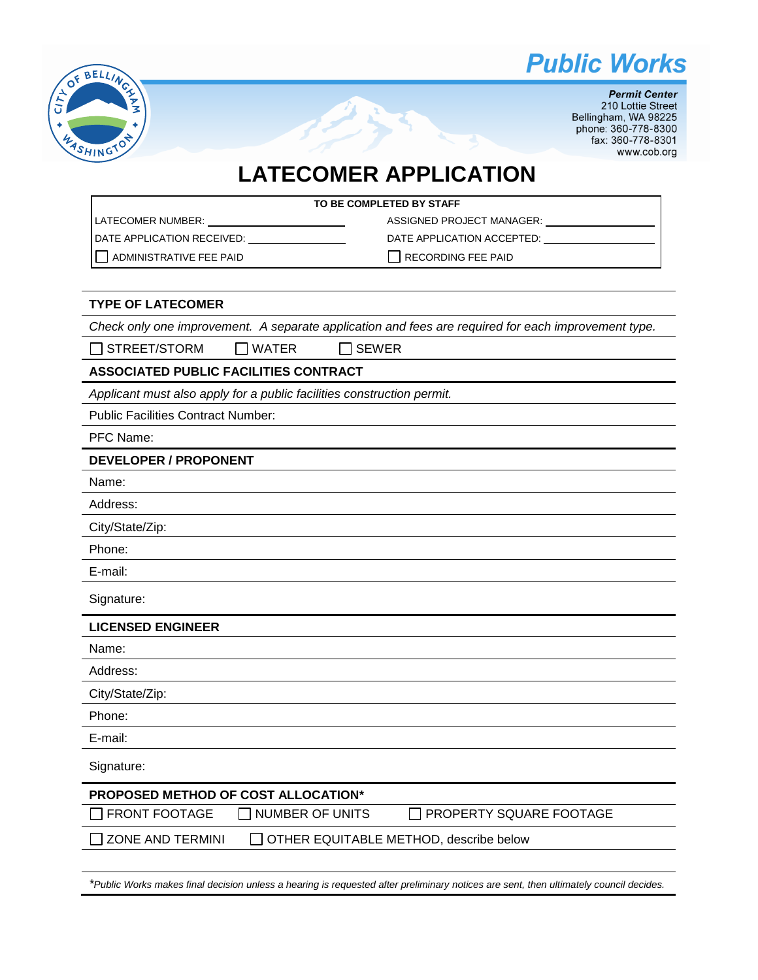



**Permit Center** 210 Lottie Street Bellingham, WA 98225 phone: 360-778-8300 fax: 360-778-8301 www.cob.org

# **LATECOMER APPLICATION**

| TO BE COMPLETED BY STAFF       |                            |  |  |
|--------------------------------|----------------------------|--|--|
| I LATECOMER NUMBER:            | ASSIGNED PROJECT MANAGER:  |  |  |
| I DATE APPLICATION RECEIVED:   | DATE APPLICATION ACCEPTED: |  |  |
| <b>ADMINISTRATIVE FEE PAID</b> | <b>RECORDING FEE PAID</b>  |  |  |

#### **TYPE OF LATECOMER**

*Check only one improvement. A separate application and fees are required for each improvement type.*

 $\Box$  STREET/STORM  $\Box$  WATER  $\Box$  SEWER

## **ASSOCIATED PUBLIC FACILITIES CONTRACT**

*Applicant must also apply for a public facilities construction permit.*

Public Facilities Contract Number:

PFC Name:

#### **DEVELOPER / PROPONENT**

Name:

Address:

City/State/Zip:

Phone:

E-mail:

Signature:

#### **LICENSED ENGINEER**

Name:

Address:

City/State/Zip:

Phone:

E-mail:

Signature:

| Signature:                                 |                        |                                        |  |  |
|--------------------------------------------|------------------------|----------------------------------------|--|--|
| <b>PROPOSED METHOD OF COST ALLOCATION*</b> |                        |                                        |  |  |
| $\Box$ FRONT FOOTAGE                       | $\Box$ NUMBER OF UNITS | $\Box$ PROPERTY SQUARE FOOTAGE         |  |  |
| ZONE AND TERMINI                           |                        | OTHER EQUITABLE METHOD, describe below |  |  |

*\*Public Works makes final decision unless a hearing is requested after preliminary notices are sent, then ultimately council decides.*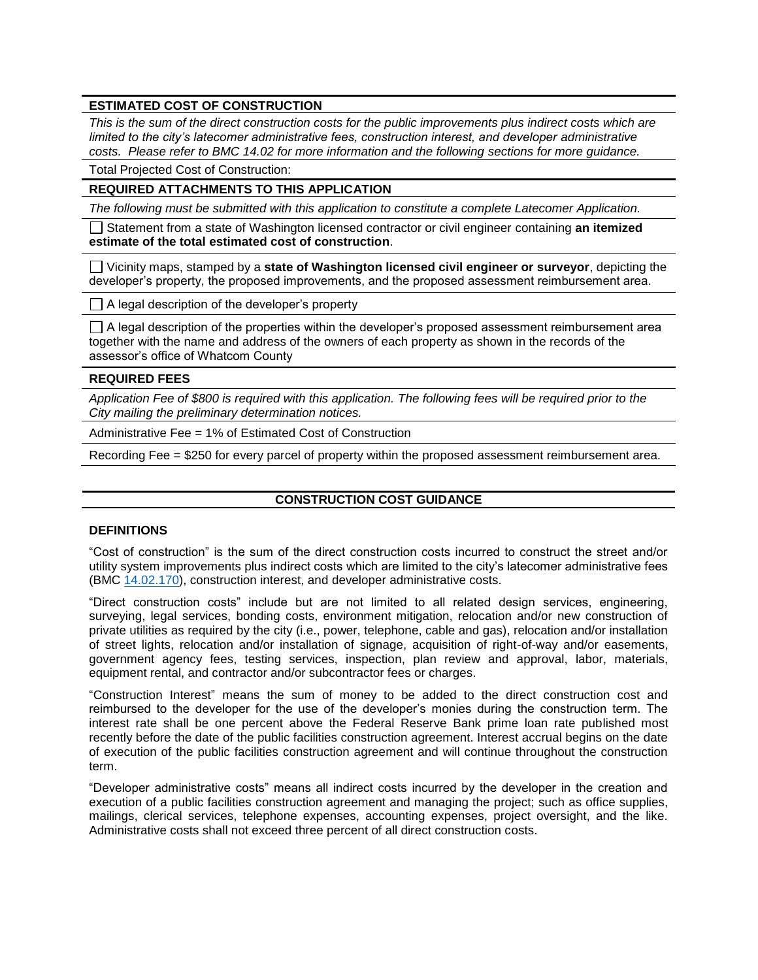# **ESTIMATED COST OF CONSTRUCTION**

*This is the sum of the direct construction costs for the public improvements plus indirect costs which are limited to the city's latecomer administrative fees, construction interest, and developer administrative costs. Please refer to BMC 14.02 for more information and the following sections for more guidance.*

Total Projected Cost of Construction:

## **REQUIRED ATTACHMENTS TO THIS APPLICATION**

*The following must be submitted with this application to constitute a complete Latecomer Application.*

Statement from a state of Washington licensed contractor or civil engineer containing **an itemized estimate of the total estimated cost of construction**.

Vicinity maps, stamped by a **state of Washington licensed civil engineer or surveyor**, depicting the developer's property, the proposed improvements, and the proposed assessment reimbursement area.

 $\Box$  A legal description of the developer's property

 $\Box$  A legal description of the properties within the developer's proposed assessment reimbursement area together with the name and address of the owners of each property as shown in the records of the assessor's office of Whatcom County

#### **REQUIRED FEES**

*Application Fee of \$800 is required with this application. The following fees will be required prior to the City mailing the preliminary determination notices.*

Administrative Fee = 1% of Estimated Cost of Construction

Recording Fee = \$250 for every parcel of property within the proposed assessment reimbursement area.

#### **CONSTRUCTION COST GUIDANCE**

## **DEFINITIONS**

"Cost of construction" is the sum of the direct construction costs incurred to construct the street and/or utility system improvements plus indirect costs which are limited to the city's latecomer administrative fees (BMC [14.02.170\)](http://www.codepublishing.com/WA/Bellingham/html/Bellingham14/Bellingham1402.html#14.02.170), construction interest, and developer administrative costs.

"Direct construction costs" include but are not limited to all related design services, engineering, surveying, legal services, bonding costs, environment mitigation, relocation and/or new construction of private utilities as required by the city (i.e., power, telephone, cable and gas), relocation and/or installation of street lights, relocation and/or installation of signage, acquisition of right-of-way and/or easements, government agency fees, testing services, inspection, plan review and approval, labor, materials, equipment rental, and contractor and/or subcontractor fees or charges.

"Construction Interest" means the sum of money to be added to the direct construction cost and reimbursed to the developer for the use of the developer's monies during the construction term. The interest rate shall be one percent above the Federal Reserve Bank prime loan rate published most recently before the date of the public facilities construction agreement. Interest accrual begins on the date of execution of the public facilities construction agreement and will continue throughout the construction term.

"Developer administrative costs" means all indirect costs incurred by the developer in the creation and execution of a public facilities construction agreement and managing the project; such as office supplies, mailings, clerical services, telephone expenses, accounting expenses, project oversight, and the like. Administrative costs shall not exceed three percent of all direct construction costs.